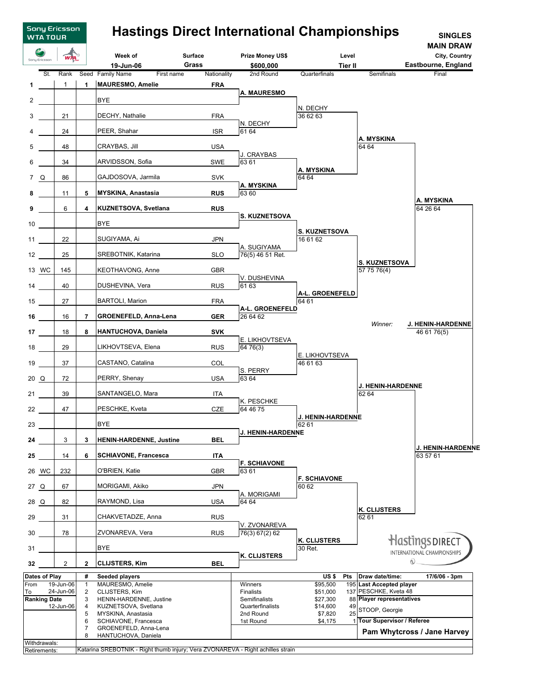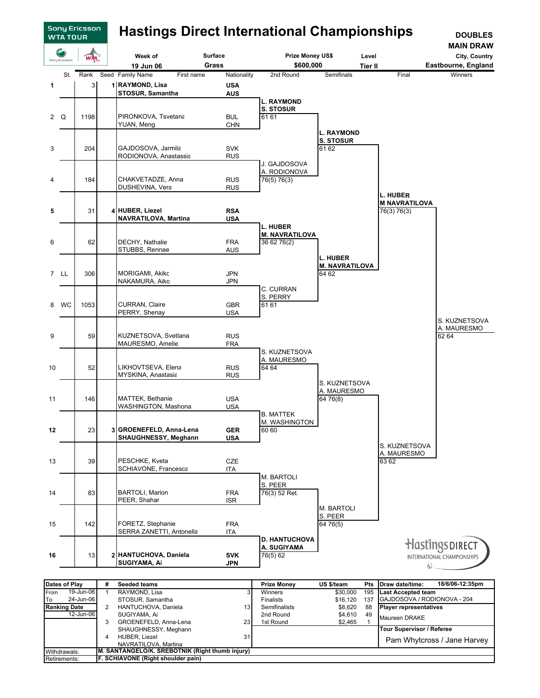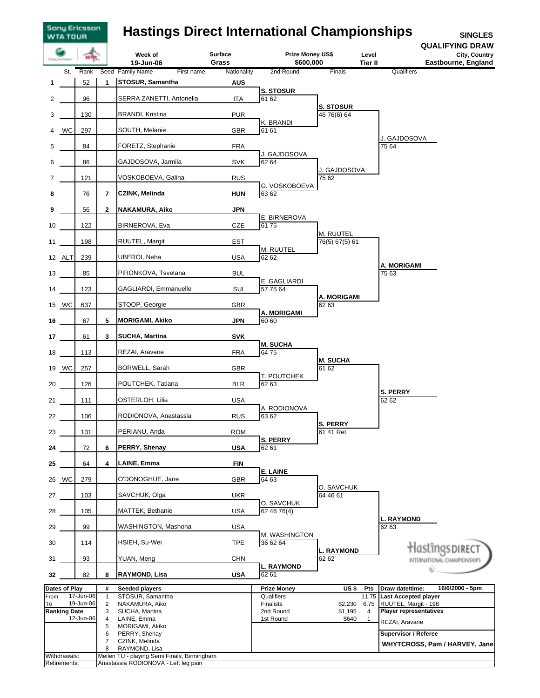## **Hastings Direct International Championships**

Sony Ericsson<br>WTA TOUR

**SINGLES QUALIFYING DRAW**

|      |                     |           |                | Week of<br>19-Jun-06                                         | <b>Surface</b><br>Grass | <b>Prize Money US\$</b><br>\$600,000 | Level<br>Tier II                | <b>QUALIFYING DRAW</b><br>City, Country<br>Eastbourne, England |
|------|---------------------|-----------|----------------|--------------------------------------------------------------|-------------------------|--------------------------------------|---------------------------------|----------------------------------------------------------------|
|      | St.                 | Rank      |                | Seed Family Name<br>First name                               | Nationality             | 2nd Round                            | Finals                          | Qualifiers                                                     |
| 1    |                     | 52        | 1              | <b>STOSUR, Samantha</b>                                      | <b>AUS</b>              |                                      |                                 |                                                                |
| 2    |                     | 96        |                | SERRA ZANETTI, Antonella                                     | <b>ITA</b>              | <b>S. STOSUR</b><br>61 62            |                                 |                                                                |
| 3    |                     | 130       |                | <b>BRANDI, Kristina</b>                                      | <b>PUR</b>              |                                      | <b>S. STOSUR</b><br>46 76(6) 64 |                                                                |
| 4    | WC                  | 297       |                | SOUTH, Melanie                                               | <b>GBR</b>              | K. BRANDI<br>61 61                   |                                 |                                                                |
| 5    |                     | 84        |                | FORETZ, Stephanie                                            | <b>FRA</b>              |                                      |                                 | J. GAJDOSOVA<br>75 64                                          |
| 6    |                     | 86        |                | GAJDOSOVA, Jarmila                                           | <b>SVK</b>              | J. GAJDOSOVA<br>62 64                |                                 |                                                                |
| 7    |                     | 121       |                | VOSKOBOEVA, Galina                                           | <b>RUS</b>              | G. VOSKOBOEVA                        | J. GAJDOSOVA<br>75 62           |                                                                |
| 8    |                     | 76        | $\overline{7}$ | <b>CZINK, Melinda</b>                                        | <b>HUN</b>              | 63 62                                |                                 |                                                                |
| 9    |                     | 56        | $\mathbf{2}$   | NAKAMURA, Aiko                                               | <b>JPN</b>              | E. BIRNEROVA                         |                                 |                                                                |
| 10   |                     | 122       |                | BIRNEROVA, Eva                                               | CZE                     | 6175                                 | M. RUUTEL                       |                                                                |
| 11   |                     | 198       |                | RUUTEL, Margit                                               | <b>EST</b>              | M. RUUTEL                            | 76(5) 67(5) 61                  |                                                                |
|      | 12 ALT              | 239       |                | UBEROI, Neha                                                 | <b>USA</b>              | 62 62                                |                                 | A. MORIGAMI                                                    |
| 13   |                     | 85        |                | PIRONKOVA, Tsvetana                                          | <b>BUL</b>              | E. GAGLIARDI                         |                                 | 75 63                                                          |
| 14   |                     | 123       |                | GAGLIARDI, Emmanuelle                                        | SUI                     | 57 75 64                             | A. MORIGAMI                     |                                                                |
|      | 15 WC               | 637       |                | STOOP, Georgie                                               | <b>GBR</b>              | <b>A. MORIGAMI</b>                   | 62 63                           |                                                                |
| 16   |                     | 67        | 5              | <b>MORIGAMI, Akiko</b>                                       | <b>JPN</b>              | 60 60                                |                                 |                                                                |
| 17   |                     | 61        | 3              | <b>SUCHA, Martina</b>                                        | <b>SVK</b>              |                                      |                                 |                                                                |
| 18   |                     | 113       |                | REZAI, Aravane                                               | <b>FRA</b>              | <b>M. SUCHA</b><br>6475              |                                 |                                                                |
|      | 19 WC               | 257       |                | BORWELL, Sarah                                               | <b>GBR</b>              |                                      | <b>M. SUCHA</b><br>61 62        |                                                                |
| 20   |                     | 126       |                | POUTCHEK, Tatiana                                            | <b>BLR</b>              | T. POUTCHEK<br>62 63                 |                                 |                                                                |
| 21   |                     | 111       |                | OSTERLOH, Lilia                                              | <b>USA</b>              |                                      |                                 | <b>S. PERRY</b><br>62 62                                       |
| 22   |                     | 106       |                | RODIONOVA, Anastassia                                        | <b>RUS</b>              | A. RODIONOVA<br>63 62                |                                 |                                                                |
| 23   |                     | 131       |                | PERIANU, Anda                                                | <b>ROM</b>              |                                      | <b>S. PERRY</b><br>61 41 Ret.   |                                                                |
| 24   |                     | 72        | 6              | PERRY, Shenay                                                | <b>USA</b>              | <b>S. PERRY</b><br>62 61             |                                 |                                                                |
| 25   |                     | 64        | 4              | LAINE, Emma                                                  | <b>FIN</b>              |                                      |                                 |                                                                |
|      | 26 WC               | 279       |                | O'DONOGHUE, Jane                                             | <b>GBR</b>              | <b>E. LAINE</b><br>64 63             |                                 |                                                                |
| 27   |                     | 103       |                | SAVCHUK, Olga                                                | <b>UKR</b>              |                                      | O. SAVCHUK<br>64 46 61          |                                                                |
| 28   |                     | 105       |                | MATTEK, Bethanie                                             | <b>USA</b>              | O. SAVCHUK<br>62 46 76(4)            |                                 |                                                                |
| 29   |                     | 99        |                | WASHINGTON, Mashona                                          | <b>USA</b>              |                                      |                                 | L. RAYMOND<br>62 63                                            |
| 30   |                     | 114       |                | HSIEH, Su-Wei                                                | <b>TPE</b>              | M. WASHINGTON<br>36 62 64            |                                 |                                                                |
| 31   |                     | 93        |                | YUAN, Meng                                                   | <b>CHN</b>              |                                      | <b>L. RAYMOND</b><br>62 62      | Hastings direct<br>INTERNATIONAL CHAMPIONSHIPS                 |
| 32   |                     | 82        | 8              | <b>RAYMOND, Lisa</b>                                         | <b>USA</b>              | <b>L. RAYMOND</b><br>62 61           |                                 |                                                                |
|      | Dates of Play       |           | #              | <b>Seeded players</b>                                        |                         | <b>Prize Money</b>                   | US\$<br><b>Pts</b>              | 16/6/2006 - 5pm<br>Draw date/time:                             |
| From |                     | 17-Jun-06 | $\mathbf{1}$   | STOSUR, Samantha                                             |                         | Qualifiers                           | 11.75                           | <b>Last Accepted player</b>                                    |
| To   |                     | 19-Jun-06 | $\overline{c}$ | NAKAMURA, Aiko                                               |                         | Finalists                            | \$2,230<br>6.75                 | RUUTEL, Margit - 198                                           |
|      | <b>Ranking Date</b> |           | 3              | SUCHA, Martina                                               |                         | 2nd Round                            | \$1,195<br>4                    | <b>Player representatives</b>                                  |
|      |                     | 12-Jun-06 | 4<br>5         | LAINE, Emma<br>MORIGAMI, Akiko                               |                         | 1st Round                            | \$640<br>$\mathbf{1}$           | REZAI, Aravane                                                 |
|      |                     |           | 6              | PERRY, Shenay                                                |                         |                                      |                                 | <b>Supervisor / Referee</b>                                    |
|      |                     |           | $\overline{7}$ | CZINK, Melinda                                               |                         |                                      |                                 | WHYTCROSS, Pam / HARVEY, Jane                                  |
|      | Withdrawals:        |           | 8              | RAYMOND, Lisa<br>Meilen TU - playing Semi Finals, Birmingham |                         |                                      |                                 |                                                                |
|      | Retirements:        |           |                | Anastassia RODIONOVA - Left leg pain                         |                         |                                      |                                 |                                                                |